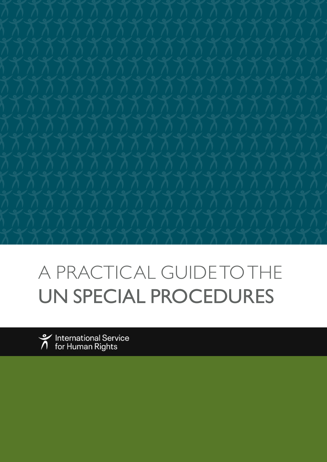

# A PRACTICAL GUIDE TO THE UN SPECIAL PROCEDURES



International Service<br>for Human Rights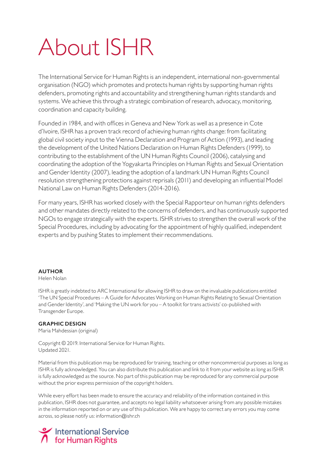# About ISHR

The International Service for Human Rights is an independent, international non-governmental organisation (NGO) which promotes and protects human rights by supporting human rights defenders, promoting rights and accountability and strengthening human rights standards and systems. We achieve this through a strategic combination of research, advocacy, monitoring, coordination and capacity building.

Founded in 1984, and with offices in Geneva and New York as well as a presence in Cote d'Ivoire, ISHR has a proven track record of achieving human rights change: from facilitating global civil society input to the Vienna Declaration and Program of Action (1993), and leading the development of the United Nations Declaration on Human Rights Defenders (1999), to contributing to the establishment of the UN Human Rights Council (2006), catalysing and coordinating the adoption of the Yogyakarta Principles on Human Rights and Sexual Orientation and Gender Identity (2007), leading the adoption of a landmark UN Human Rights Council resolution strengthening protections against reprisals (2011) and developing an influential Model National Law on Human Rights Defenders (2014-2016).

For many years, ISHR has worked closely with the Special Rapporteur on human rights defenders and other mandates directly related to the concerns of defenders, and has continuously supported NGOs to engage strategically with the experts. ISHR strives to strengthen the overall work of the Special Procedures, including by advocating for the appointment of highly qualified, independent experts and by pushing States to implement their recommendations.

#### **AUTHOR**

#### Helen Nolan

ISHR is greatly indebted to ARC International for allowing ISHR to draw on the invaluable publications entitled 'The UN Special Procedures – A Guide for Advocates Working on Human Rights Relating to Sexual Orientation and Gender Identity', and 'Making the UN work for you – A toolkit for trans activists' co-published with Transgender Europe.

#### **GRAPHIC DESIGN**

Maria Mahdessian (original)

Copyright © 2019. International Service for Human Rights. Updated 2021.

Material from this publication may be reproduced for training, teaching or other noncommercial purposes as long as ISHR is fully acknowledged. You can also distribute this publication and link to it from your website as long as ISHR is fully acknowledged as the source. No part of this publication may be reproduced for any commercial purpose without the prior express permission of the copyright holders.

While every effort has been made to ensure the accuracy and reliability of the information contained in this publication, ISHR does not guarantee, and accepts no legal liability whatsoever arising from any possible mistakes in the information reported on or any use of this publication. We are happy to correct any errors you may come across, so please notify us: information@ishr.ch

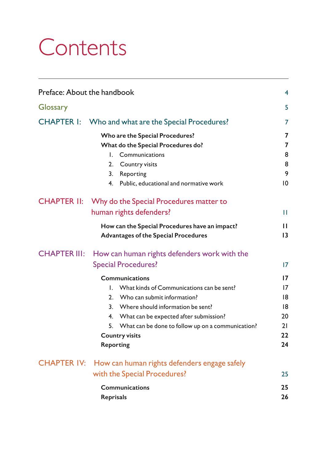# **Contents**

| Preface: About the handbook                                                                                                                                                     |                                                                                                                                                                                                                                                                                                                                                                          | 4                                                  |
|---------------------------------------------------------------------------------------------------------------------------------------------------------------------------------|--------------------------------------------------------------------------------------------------------------------------------------------------------------------------------------------------------------------------------------------------------------------------------------------------------------------------------------------------------------------------|----------------------------------------------------|
| Glossary                                                                                                                                                                        |                                                                                                                                                                                                                                                                                                                                                                          | 5                                                  |
| <b>CHAPTER I:</b>                                                                                                                                                               | Who and what are the Special Procedures?                                                                                                                                                                                                                                                                                                                                 |                                                    |
|                                                                                                                                                                                 | Who are the Special Procedures?<br>What do the Special Procedures do?<br>Communications<br>L.<br>2.<br>Country visits<br>3.<br>Reporting<br>4. Public, educational and normative work                                                                                                                                                                                    | 7<br>7<br>8<br>8<br>9<br>10                        |
| CHAPTER II: Why do the Special Procedures matter to<br>human rights defenders?<br>How can the Special Procedures have an impact?<br><b>Advantages of the Special Procedures</b> |                                                                                                                                                                                                                                                                                                                                                                          |                                                    |
| <b>CHAPTER III:</b>                                                                                                                                                             | How can human rights defenders work with the<br><b>Special Procedures?</b><br><b>Communications</b><br>I. What kinds of Communications can be sent?<br>2. Who can submit information?<br>3. Where should information be sent?<br>4. What can be expected after submission?<br>5. What can be done to follow up on a communication?<br><b>Country visits</b><br>Reporting | 17<br>17<br>17<br>18<br>18<br>20<br>21<br>22<br>24 |
| <b>CHAPTER IV:</b>                                                                                                                                                              | How can human rights defenders engage safely<br>with the Special Procedures?<br>Communications<br>Reprisals                                                                                                                                                                                                                                                              | 25<br>25<br>26                                     |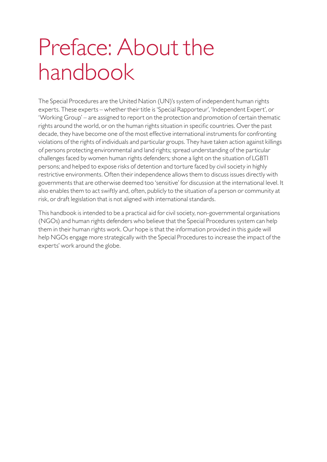# <span id="page-3-0"></span>Preface: About the handbook

The Special Procedures are the United Nation (UN)'s system of independent human rights experts. These experts – whether their title is 'Special Rapporteur', 'Independent Expert', or 'Working Group' – are assigned to report on the protection and promotion of certain thematic rights around the world, or on the human rights situation in specific countries. Over the past decade, they have become one of the most effective international instruments for confronting violations of the rights of individuals and particular groups. They have taken action against killings of persons protecting environmental and land rights; spread understanding of the particular challenges faced by women human rights defenders; shone a light on the situation of LGBTI persons; and helped to expose risks of detention and torture faced by civil society in highly restrictive environments. Often their independence allows them to discuss issues directly with governments that are otherwise deemed too 'sensitive' for discussion at the international level. It also enables them to act swiftly and, often, publicly to the situation of a person or community at risk, or draft legislation that is not aligned with international standards.

This handbook is intended to be a practical aid for civil society, non-governmental organisations (NGOs) and human rights defenders who believe that the Special Procedures system can help them in their human rights work. Our hope is that the information provided in this guide will help NGOs engage more strategically with the Special Procedures to increase the impact of the experts' work around the globe.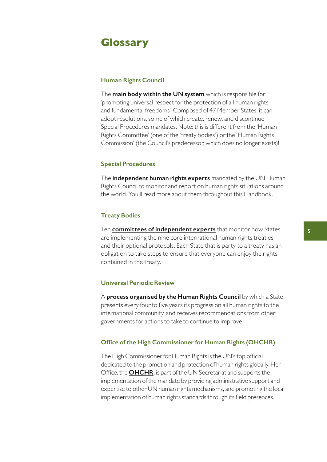# <span id="page-4-0"></span>**Glossary**

#### **Human Rights Council**

The **[main body within the UN system](https://academy.ishr.ch/learn/un-human-rights-council/human-rights-council-the-basics)** which is responsible for 'promoting universal respect for the protection of all human rights and fundamental freedoms'. Composed of 47 Member States, it can adopt resolutions, some of which create, renew, and discontinue Special Procedures mandates. Note: this is different from the 'Human Rights Committee' (one of the 'treaty bodies') or the 'Human Rights Commission' (the Council's predecessor, which does no longer exists)!

#### **Special Procedures**

The **[independent human rights experts](https://academy.ishr.ch/learn/special-procedures/special-procedures-the-basics-video)** mandated by the UN Human Rights Council to monitor and report on human rights situations around the world. You'll read more about them throughout this Handbook.

#### **Treaty Bodies**

Ten **[committees of independent experts](https://ishr.ch/wp-content/uploads/2015/07/ishr_simpleguide_eng_final_final_dec15.pdf)** that monitor how States are implementing the nine core international human rights treaties and their optional protocols. Each State that is party to a treaty has an obligation to take steps to ensure that everyone can enjoy the rights contained in the treaty.

#### **Universal Periodic Review**

A **[process organised by the Human Rights Council](https://www.ishr.ch/sites/default/files/documents/ishr_upr_civil_society_guide_english.pdf)** by which a State presents every four to five years its progress on all human rights to the international community, and receives recommendations from other governments for actions to take to continue to improve.

#### **Office of the High Commissioner for Human Rights (OHCHR)**

The High Commissioner for Human Rights is the UN's top official dedicated to the promotion and protection of human rights globally. Her Office, the **[OHCHR](https://www.ohchr.org/en/aboutus/pages/whatwedo.aspx)**, is part of the UN Secretariat and supports the implementation of the mandate by providing administrative support and expertise to other UN human rights mechanisms, and promoting the local implementation of human rights standards through its field presences.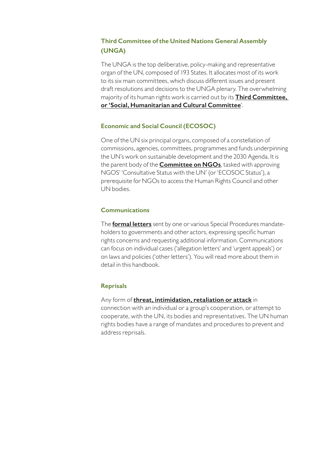# **Third Committee of the United Nations General Assembly (UNGA)**

The UNGA is the top deliberative, policy-making and representative organ of the UN, composed of 193 States. It allocates most of its work to its six main committees, which discuss different issues and present draft resolutions and decisions to the UNGA plenary. The overwhelming majority of its human rights work is carried out by its **[Third Committee,](https://ishr.ch/wp-content/uploads/2021/07/ishr_3rd_com_handbook_eng_web.pdf)  [or 'Social, Humanitarian and Cultural Committee](https://ishr.ch/wp-content/uploads/2021/07/ishr_3rd_com_handbook_eng_web.pdf)**'.

# **Economic and Social Council (ECOSOC)**

One of the UN six principal organs, composed of a constellation of commissions, agencies, committees, programmes and funds underpinning the UN's work on sustainable development and the 2030 Agenda. It is the parent body of the **[Committee on NGOs](https://ishr.ch/wp-content/uploads/2021/07/ishr_ngo_handbook_2017_eng_web.pdf)**, tasked with approving NGOS' 'Consultative Status with the UN' (or 'ECOSOC Status'), a prerequisite for NGOs to access the Human Rights Council and other UN bodies.

# **Communications**

The **[formal letters](https://www.ohchr.org/EN/Issues/Environment/SREnvironment/Pages/Communications.aspx)** sent by one or various Special Procedures mandateholders to governments and other actors, expressing specific human rights concerns and requesting additional information. Communications can focus on individual cases ('allegation letters' and 'urgent appeals') or on laws and policies ('other letters'). You will read more about them in detail in this handbook.

### **Reprisals**

Any form of **[threat, intimidation, retaliation or attack](https://ishr.ch/wp-content/uploads/2021/07/ishr_reprisals018_eng_new_web3_0.pdf)** in connection with an individual or a group's cooperation, or attempt to cooperate, with the UN, its bodies and representatives. The UN human rights bodies have a range of mandates and procedures to prevent and address reprisals.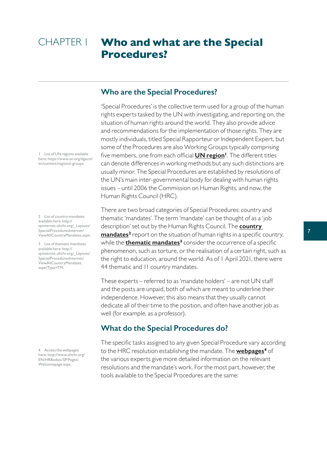# <span id="page-6-0"></span>**Who and what are the Special Procedures?** CHAPTER 1

# **Who are the Special Procedures?**

'Special Procedures' is the collective term used for a group of the human rights experts tasked by the UN with investigating, and reporting on, the situation of human rights around the world. They also provide advice and recommendations for the implementation of those rights. They are mostly individuals, titled Special Rapporteur or Independent Expert, but some of the Procedures are also Working Groups typically comprising five members, one from each official **[UN region](https://www.un.org/dgacm/en/content/regional-groups)<sup>1</sup>**. The different titles can denote differences in working methods but any such distinctions are usually minor. The Special Procedures are established by resolutions of the UN's main inter-governmental body for dealing with human rights issues – until 2006 the Commission on Human Rights, and now, the Human Rights Council (HRC).

There are two broad categories of Special Procedures: country and thematic 'mandates'. The term 'mandate' can be thought of as a 'job description' set out by the Human Rights Council. The **[country](http://spinternet.ohchr.org/_Layouts/SpecialProceduresInternet/ViewAllCountryMandates.aspx)  [mandates](http://spinternet.ohchr.org/_Layouts/SpecialProceduresInternet/ViewAllCountryMandates.aspx)<sup>2</sup>** report on the situation of human rights in a specific country, while the **[thematic mandates](http://spinternet.ohchr.org/_Layouts/SpecialProceduresInternet/ViewAllCountryMandates.aspx?Type=TM)<sup>3</sup>** consider the occurrence of a specific phenomenon, such as torture, or the realisation of a certain right, such as the right to education, around the world. As of 1 April 2021, there were 44 thematic and 11 country mandates.

These experts – referred to as 'mandate holders' – are not UN staff and the posts are unpaid, both of which are meant to underline their independence. However, this also means that they usually cannot dedicate all of their time to the position, and often have another job as well (for example, as a professor).

# **What do the Special Procedures do?**

The specific tasks assigned to any given Special Procedure vary according to the HRC resolution establishing the mandate. The **[webpages](http://www.ohchr.org/EN/HRBodies/SP/Pages/Welcomepage.aspx)<sup>4</sup>** of the various experts give more detailed information on the relevant resolutions and the mandate's work. For the most part, however, the tools available to the Special Procedures are the same:

1 List of UN regions available here: https://www.un.org/dgacm/ en/content/regional-groups.

2 List of country mandates available here: http:// spinternet.ohchr.org/\_Layouts/ SpecialProceduresInternet/ ViewAllCountryMandates.aspx.

3 List of thematic mandates available here: http:// spinternet.ohchr.org/\_Layouts/ SpecialProceduresInternet/ ViewAllCountryMandates. aspx?Type=TM.

4 Access the webpages here: http://www.ohchr.org/ EN/HRBodies/SP/Pages/ Welcomepage.aspx.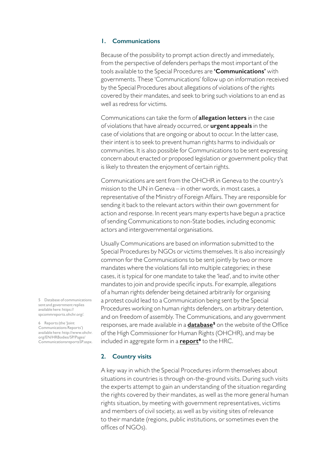#### <span id="page-7-0"></span>**1. Communications**

Because of the possibility to prompt action directly and immediately, from the perspective of defenders perhaps the most important of the tools available to the Special Procedures are **'Communications'** with governments. These 'Communications' follow up on information received by the Special Procedures about allegations of violations of the rights covered by their mandates, and seek to bring such violations to an end as well as redress for victims.

Communications can take the form of **allegation letters** in the case of violations that have already occurred, or **urgent appeals** in the case of violations that are ongoing or about to occur. In the latter case, their intent is to seek to prevent human rights harms to individuals or communities. It is also possible for Communications to be sent expressing concern about enacted or proposed legislation or government policy that is likely to threaten the enjoyment of certain rights.

Communications are sent from the OHCHR in Geneva to the country's mission to the UN in Geneva – in other words, in most cases, a representative of the Ministry of Foreign Affairs. They are responsible for sending it back to the relevant actors within their own government for action and response. In recent years many experts have begun a practice of sending Communications to non-State bodies, including economic actors and intergovernmental organisations.

Usually Communications are based on information submitted to the Special Procedures by NGOs or victims themselves. It is also increasingly common for the Communications to be sent jointly by two or more mandates where the violations fall into multiple categories; in these cases, it is typical for one mandate to take the 'lead', and to invite other mandates to join and provide specific inputs. For example, allegations of a human rights defender being detained arbitrarily for organising a protest could lead to a Communication being sent by the Special Procedures working on human rights defenders, on arbitrary detention, and on freedom of assembly. The Communications, and any government responses, are made available in a **[database](https://spcommreports.ohchr.org/)<sup>5</sup>** on the website of the Office of the High Commissioner for Human Rights (OHCHR), and may be included in aggregate form in a **[report](http://www.ohchr.org/EN/HRBodies/SP/Pages/CommunicationsreportsSP.aspx)<sup>6</sup>** to the HRC.

#### **2. Country visits**

A key way in which the Special Procedures inform themselves about situations in countries is through on-the-ground visits. During such visits the experts attempt to gain an understanding of the situation regarding the rights covered by their mandates, as well as the more general human rights situation, by meeting with government representatives, victims and members of civil society, as well as by visiting sites of relevance to their mandate (regions, public institutions, or sometimes even the offices of NGOs).

5 Database of communications sent and government replies available here: https:// spcommreports.ohchr.org/.

6 Reports (the 'Joint Communications Reports') available here: http://www.ohchr. org/EN/HRBodies/SP/Pages/ CommunicationsreportsSP.aspx.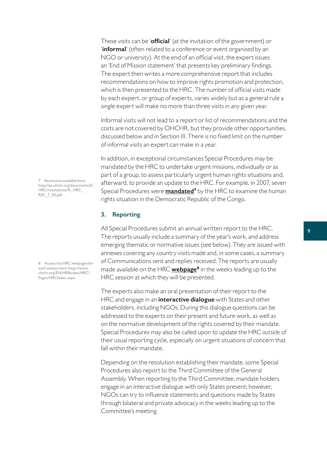<span id="page-8-0"></span>These visits can be '**official**' (at the invitation of the government) or '**informal**' (often related to a conference or event organised by an NGO or university). At the end of an official visit, the expert issues an 'End of Mission statement' that presents key preliminary findings. The expert then writes a more comprehensive report that includes recommendations on how to improve rights promotion and protection, which is then presented to the HRC. The number of official visits made by each expert, or group of experts, varies widely but as a general rule a single expert will make no more than three visits in any given year.

Informal visits will not lead to a report or list of recommendations and the costs are not covered by OHCHR, but they provide other opportunities, discussed below and in Section III. There is no fixed limit on the number of informal visits an expert can make in a year.

In addition, in exceptional circumstances Special Procedures may be mandated by the HRC to undertake urgent missions, individually or as part of a group, to assess particularly urgent human rights situations and, afterward, to provide an update to the HRC. For example, in 2007, seven Special Procedures were **[mandated](http://ap.ohchr.org/documents/E/HRC/resolutions/A_HRC_RES_7_20.pdf)<sup>7</sup>** by the HRC to examine the human rights situation in the Democratic Republic of the Congo.

#### **3. Reporting**

All Special Procedures submit an annual written report to the HRC. The reports usually include a summary of the year's work, and address emerging thematic or normative issues (see below). They are issued with annexes covering any country visits made and, in some cases, a summary of Communications sent and replies received. The reports are usually made available on the HRC **[webpage](http://www.ohchr.org/EN/HRBodies/HRC/Pages/HRCIndex.aspx)<sup>8</sup>** in the weeks leading up to the HRC session at which they will be presented.

The experts also make an oral presentation of their report to the HRC and engage in an **interactive dialogue** with States and other stakeholders, including NGOs. During this dialogue questions can be addressed to the experts on their present and future work, as well as on the normative development of the rights covered by their mandate. Special Procedures may also be called upon to update the HRC *outside* of their usual reporting cycle, especially on urgent situations of concern that fall within their mandate.

Depending on the resolution establishing their mandate, some Special Procedures also report to the Third Committee of the General Assembly. When reporting to the Third Committee, mandate holders engage in an interactive dialogue with only States present; however, NGOs can try to influence statements and questions made by States through bilateral and private advocacy in the weeks leading up to the Committee's meeting.

7 Resolution available here: http://ap.ohchr.org/documents/E/ HRC/resolutions/A\_HRC\_ RES\_7\_20.pdf.

8 Access the HRC webpages for each session here: http://www. ohchr.org/EN/HRBodies/HRC/ Pages/HRCIndex.aspx.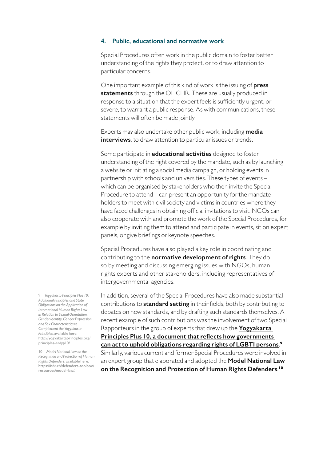#### <span id="page-9-0"></span>**4. Public, educational and normative work**

Special Procedures often work in the public domain to foster better understanding of the rights they protect, or to draw attention to particular concerns.

One important example of this kind of work is the issuing of **press statements** through the OHCHR. These are usually produced in response to a situation that the expert feels is sufficiently urgent, or severe, to warrant a public response. As with communications, these statements will often be made jointly.

Experts may also undertake other public work, including **media interviews**, to draw attention to particular issues or trends.

Some participate in **educational activities** designed to foster understanding of the right covered by the mandate, such as by launching a website or initiating a social media campaign, or holding events in partnership with schools and universities. These types of events – which can be organised by stakeholders who then invite the Special Procedure to attend – can present an opportunity for the mandate holders to meet with civil society and victims in countries where they have faced challenges in obtaining official invitations to visit. NGOs can also cooperate with and promote the work of the Special Procedures, for example by inviting them to attend and participate in events, sit on expert panels, or give briefings or keynote speeches.

Special Procedures have also played a key role in coordinating and contributing to the **normative development of rights**. They do so by meeting and discussing emerging issues with NGOs, human rights experts and other stakeholders, including representatives of intergovernmental agencies.

In addition, several of the Special Procedures have also made substantial contributions to **standard setting** in their fields, both by contributing to debates on new standards, and by drafting such standards themselves. A recent example of such contributions was the involvement of two Special Rapporteurs in the group of experts that drew up the **[Yogyakarta](http://yogyakartaprinciples.org/principles-en/yp10/)  [Principles Plus 10, a document that reflects how governments](http://yogyakartaprinciples.org/principles-en/yp10/)  [can act to uphold obligations regarding rights of LGBTI persons](http://yogyakartaprinciples.org/principles-en/yp10/)**. **9** Similarly, various current and former Special Procedures were involved in an expert group that elaborated and adopted the **[Model National Law](https://ishr.ch/defenders-toolbox/resources/model-law/)  [on the Recognition and Protection of Human Rights Defenders](https://ishr.ch/defenders-toolbox/resources/model-law/)**. **10**

9 *Yogyakarta Principles Plus 10: Additional Principles and State Obligations on the Application of International Human Rights Law in Relation to Sexual Orientation, Gender Identity, Gender Expression and Sex Characteristics to Complement the Yogyakarta Principles*, available here: http://yogyakartaprinciples.org/ principles-en/yp10/.

10 *Model National Law on the Recognition and Protection of Human Rights Defenders*, available here: https://ishr.ch/defenders-toolbox/ resources/model-law/.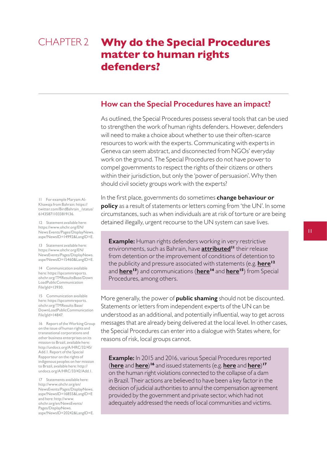# <span id="page-10-0"></span>**Why do the Special Procedures matter to human rights defenders?** CHAPTER 2

#### **How can the Special Procedures have an impact?**

As outlined, the Special Procedures possess several tools that can be used to strengthen the work of human rights defenders. However, defenders will need to make a choice about whether to use their often-scarce resources to work with the experts. Communicating with experts in Geneva can seem abstract, and disconnected from NGOs' everyday work on the ground. The Special Procedures do not have power to compel governments to respect the rights of their citizens or others within their jurisdiction, but only the 'power of persuasion'. Why then should civil society groups work with the experts?

11 For example Maryam Al-Khawaja from Bahrain: https:// twitter.com/BirdBahrain\_/status/ 614358711033819136.

12 Statement available here: https://www.ohchr.org/EN/ News Events/Pages/DisplayNews. aspx?NewsID=14992&LangID=E.

13 Statement available here: https://www.ohchr.org/EN/ NewsEvents/Pages/DisplayNews. aspx?NewsID=15460&LangID=E.

14 Communication available here: https://spcommreports. ohchr.org/TMResultsBase/Down LoadPublicCommunication File?gId=13930.

15 Communication available here: https://spcommreports. ohchr.org/TMResults Base/ DownLoadPublicCommunication File?gId=14847.

16 Report of the Working Group on the issue of human rights and transnational corporations and other business enterprises on its mission to Brazil, available here: http://undocs.org/A/HRC/32/45/ Add.1. Report of the Special Rapporteur on the rights of indigenous peoples on her mission to Brazil, available here: http:// undocs.org/A/HRC/33/42/Add.1.

17 Statements available here: http://www.ohchr.org/en/ NewsEvents/Pages/DisplayNews. aspx?NewsID=16855&LangID=E and here: http://www. ohchr.org/en/NewsEvents/ Pages/DisplayNews. aspx?NewsID=20242&LangID=E. In the first place, governments do sometimes **change behaviour or policy** as a result of statements or letters coming from 'the UN'. In some circumstances, such as when individuals are at risk of torture or are being detained illegally, urgent recourse to the UN system can save lives.

**Example:** Human rights defenders working in very restrictive environments, such as Bahrain, have **[attributed](https://twitter.com/BirdBahrain_/status/614358711033819136)<sup>11</sup>** their release from detention or the improvement of conditions of detention to the publicity and pressure associated with statements (e.g. **[here](https://www.ohchr.org/EN/NewsEvents/Pages/DisplayNews.aspx?NewsID=14992&LangID=E)<sup>12</sup>** and **[here](https://www.ohchr.org/EN/NewsEvents/Pages/DisplayNews.aspx?NewsID=15460&LangID=E)<sup>13</sup>**) and communications (**[here](https://spcommreports.ohchr.org/TMResultsBase/DownLoadPublicCommunicationFile?gId=13930)<sup>14</sup>** and **[here](https://spcommreports.ohchr.org/TMResultsBase/DownLoadPublicCommunicationFile?gId=14847)<sup>15</sup>**) from Special Procedures, among others.

More generally, the power of **public shaming** should not be discounted. Statements or letters from independent experts of the UN can be understood as an additional, and potentially influential, way to get across messages that are already being delivered at the local level. In other cases, the Special Procedures can enter into a dialogue with States where, for reasons of risk, local groups cannot.

**Example:** In 2015 and 2016, various Special Procedures reported (**[here](http://undocs.org/A/HRC/32/45/Add.1)** and **[here](http://undocs.org/A/HRC/33/42/Add.1)**) **<sup>16</sup>** and issued statements (e.g. **[here](http://www.ohchr.org/en/NewsEvents/Pages/DisplayNews.aspx?NewsID=16855&LangID=E)** and **[here](http://www.ohchr.org/en/NewsEvents/Pages/DisplayNews.aspx?NewsID=20242&LangID=E)**) **17** on the human right violations connected to the collapse of a dam in Brazil. Their actions are believed to have been a key factor in the decision of judicial authorities to annul the compensation agreement provided by the government and private sector, which had not adequately addressed the needs of local communities and victims.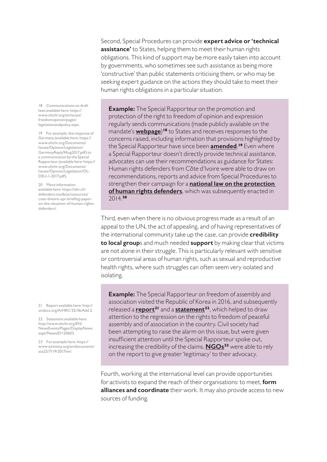Second, Special Procedures can provide **expert advice or 'technical assistance'** to States, helping them to meet their human rights obligations. This kind of support may be more easily taken into account by governments, who sometimes see such assistance as being more 'constructive' than public statements criticising them, or who may be seeking expert guidance on the actions they should take to meet their human rights obligations in a particular situation.

18 Communications on draft laws available here: https:// www.ohchr.org/en/issues/ freedomopinion/pages/ legislationandpolicy.aspx.

19 For example, the response of Germany (available here: https:// www.ohchr.org/Documents/ Issues/Opinion/Legislation/ GermanyReply9Aug2017.pdf) to a communication by the Special Rapporteur (available here: https:// www.ohchr.org/Documents/ Issues/Opinion/Legislation/OL-DEU-1-2017.pdf).

20 More information available here: https://ishr.ch/ defenders-toolbox/resources/ cote-divoire-upr-briefing-paperon-the-situation-of-human-rightsdefenders/.

21 Report available here: http:// undocs.org/A/HRC/32/36/Add.2.

22 Statement available here: http://www.ohchr.org/EN/ NewsEvents/Pages/DisplayNews. aspx?NewsID=20603.

23 For example here: https:// www.amnesty.org/en/documents/ asa25/7119/2017/en/.

**Example:** The Special Rapporteur on the promotion and protection of the right to freedom of opinion and expression regularly sends communications (made publicly available on the mandate's **[webpage](https://www.ohchr.org/en/issues/freedomopinion/pages/legislationandpolicy.aspx)**)**<sup>18</sup>** to States and receives responses to the concerns raised, including information that provisions highlighted by the Special Rapporteur have since been **[amended](https://www.ohchr.org/Documents/Issues/Opinion/Legislation/GermanyReply9Aug2017.pdf)**. **<sup>19</sup>** Even where a Special Rapporteur doesn't directly provide technical assistance, advocates can use their recommendations as guidance for States: Human rights defenders from Côte d'Ivoire were able to draw on recommendations, reports and advice from Special Procedures to strengthen their campaign for a **[national law on the protection](https://ishr.ch/defenders-toolbox/resources/cote-divoire-upr-briefing-paper-on-the-situation-of-human-rights-defenders/)  [of human rights defenders](https://ishr.ch/defenders-toolbox/resources/cote-divoire-upr-briefing-paper-on-the-situation-of-human-rights-defenders/)**, which was subsequently enacted in 2014.**<sup>20</sup>**

Third, even when there is no obvious progress made as a result of an appeal to the UN, the act of appealing, and of having representatives of the international community take up the case, can provide **credibility to local group**s and much needed **support** by making clear that victims are not alone in their struggle. This is particularly relevant with sensitive or controversial areas of human rights, such as sexual and reproductive health rights, where such struggles can often seem very isolated and isolating.

**Example:** The Special Rapporteur on freedom of assembly and association visited the Republic of Korea in 2016, and subsequently released a **[report](http://undocs.org/A/HRC/32/36/Add.2)<sup>21</sup>** and a **[statement](http://www.ohchr.org/EN/NewsEvents/Pages/DisplayNews.aspx?NewsID=20603)<sup>22</sup>**, which helped to draw attention to the regression on the rights to freedom of peaceful assembly and of association in the country. Civil society had been attempting to raise the alarm on this issue, but were given insufficient attention until the Special Rapporteur spoke out, increasing the credibility of the claims. **[NGOs](https://www.amnesty.org/en/documents/asa25/7119/2017/en/)<sup>23</sup>** were able to rely on the report to give greater 'legitimacy' to their advocacy.

Fourth, working at the international level can provide opportunities for activists to expand the reach of their organisations: to meet, **form alliances and coordinate** their work. It may also provide access to new sources of funding.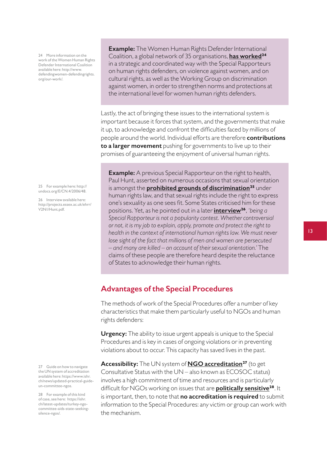<span id="page-12-0"></span>24 More information on the work of the Women Human Rights Defender International Coalition available here: http://www. defendingwomen-defendingrights. org/our-work/.

25 For example here: http:// undocs.org/E/CN.4/2006/48.

26 Interview available here: http://projects.essex.ac.uk/ehrr/ V2N1/Hunt.pdf.

27 Guide on how to navigate the UN system of accreditation available here: https://www.ishr. ch/news/updated-practical-guideun-committee-ngos.

28 For example of this kind of case, see here: https://ishr. ch/latest-updates/turkey-ngocommittee-aids-state-seekingsilence-ngos/.

**Example:** The Women Human Rights Defender International Coalition, a global network of 35 organisations, **[has worked](http://www.defendingwomen-defendingrights.org/our-work/)<sup>24</sup>** in a strategic and coordinated way with the Special Rapporteurs on human rights defenders, on violence against women, and on cultural rights, as well as the Working Group on discrimination against women, in order to strengthen norms and protections at the international level for women human rights defenders.

Lastly, the act of bringing these issues to the international system is important because it forces that system, and the governments that make it up, to acknowledge and confront the difficulties faced by millions of people around the world. Individual efforts are therefore **contributions to a larger movement** pushing for governments to live up to their promises of guaranteeing the enjoyment of universal human rights.

**Example:** A previous Special Rapporteur on the right to health, Paul Hunt, asserted on numerous occasions that sexual orientation is amongst the **[prohibited grounds of discrimination](http://undocs.org/E/CN.4/2006/48)<sup>25</sup>** under human rights law, and that sexual rights include the right to express one's sexuality as one sees fit. Some States criticised him for these positions. Yet, as he pointed out in a later **[interview](http://projects.essex.ac.uk/ehrr/V2N1/Hunt.pdf)<sup>26</sup>**, *'being a Special Rapporteur is not a popularity contest. Whether controversial or not, it is my job to explain, apply, promote and protect the right to health in the context of international human rights law. We must never lose sight of the fact that millions of men and women are persecuted – and many are killed – on account of their sexual orientation.'* The claims of these people are therefore heard despite the reluctance of States to acknowledge their human rights.

# **Advantages of the Special Procedures**

The methods of work of the Special Procedures offer a number of key characteristics that make them particularly useful to NGOs and human rights defenders:

**Urgency:** The ability to issue urgent appeals is unique to the Special Procedures and is key in cases of ongoing violations or in preventing violations about to occur. This capacity has saved lives in the past.

**Accessibility:** The UN system of **[NGO accreditation](https://www.ishr.ch/news/updated-practical-guide-un-committee-ngos)<sup>27</sup>** (to get Consultative Status with the UN – also known as ECOSOC status) involves a high commitment of time and resources and is particularly difficult for NGOs working on issues that are **[politically sensitive](https://ishr.ch/latest-updates/turkey-ngo-committee-aids-state-seeking-silence-ngos/)<sup>28</sup>**. It is important, then, to note that **no accreditation is required** to submit information to the Special Procedures: any victim or group can work with the mechanism.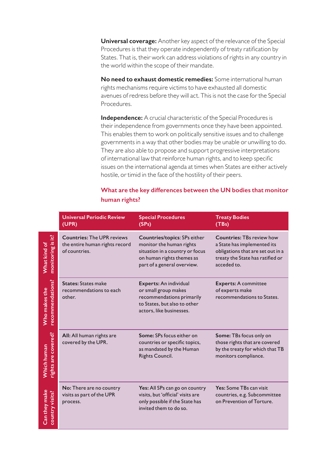**Universal coverage:** Another key aspect of the relevance of the Special Procedures is that they operate independently of treaty ratification by States. That is, their work can address violations of rights in any country in the world within the scope of their mandate.

**No need to exhaust domestic remedies:** Some international human rights mechanisms require victims to have exhausted all domestic avenues of redress before they will act. This is not the case for the Special Procedures.

**Independence:** A crucial characteristic of the Special Procedures is their independence from governments once they have been appointed. This enables them to work on politically sensitive issues and to challenge governments in a way that other bodies may be unable or unwilling to do. They are also able to propose and support progressive interpretations of international law that reinforce human rights, and to keep specific issues on the international agenda at times when States are either actively hostile, or timid in the face of the hostility of their peers.

# **What are the key differences between the UN bodies that monitor human rights?**

|                                    | <b>Universal Periodic Review</b><br>(UPR)                                            | <b>Special Procedures</b><br>(SPs)                                                                                                                             | <b>Treaty Bodies</b><br>(TBs)                                                                                                                           |
|------------------------------------|--------------------------------------------------------------------------------------|----------------------------------------------------------------------------------------------------------------------------------------------------------------|---------------------------------------------------------------------------------------------------------------------------------------------------------|
| monitoring is it?<br>What kind of  | <b>Countries: The UPR reviews</b><br>the entire human rights record<br>of countries. | <b>Countries/topics: SPs either</b><br>monitor the human rights<br>situation in a country or focus<br>on human rights themes as<br>part of a general overview. | <b>Countries: TBs review how</b><br>a State has implemented its<br>obligations that are set out in a<br>treaty the State has ratified or<br>acceded to. |
| recommendations?<br>Who makes the  | <b>States: States make</b><br>recommendations to each<br>other.                      | Experts: An individual<br>or small group makes<br>recommendations primarily<br>to States, but also to other<br>actors, like businesses.                        | <b>Experts: A committee</b><br>of experts make<br>recommendations to States.                                                                            |
| rights are covered?<br>Which human | All: All human rights are<br>covered by the UPR.                                     | Some: SPs focus either on<br>countries or specific topics,<br>as mandated by the Human<br>Rights Council.                                                      | Some: TBs focus only on<br>those rights that are covered<br>by the treaty for which that TB<br>monitors compliance.                                     |
| Can they make<br>country visits?   | No: There are no country<br>visits as part of the UPR<br>process.                    | Yes: All SPs can go on country<br>visits, but 'official' visits are<br>only possible if the State has<br>invited them to do so.                                | Yes: Some TBs can visit<br>countries, e.g. Subcommittee<br>on Prevention of Torture.                                                                    |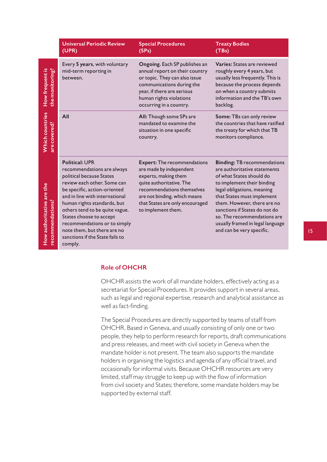|                                               | <b>Universal Periodic Review</b><br>(UPR)                                                                                                                                                                                                                                                                                                                                                 | <b>Special Procedures</b><br>(SPs)                                                                                                                                                                                                       | <b>Treaty Bodies</b><br>(TBs)                                                                                                                                                                                                                                                                                                                            |
|-----------------------------------------------|-------------------------------------------------------------------------------------------------------------------------------------------------------------------------------------------------------------------------------------------------------------------------------------------------------------------------------------------------------------------------------------------|------------------------------------------------------------------------------------------------------------------------------------------------------------------------------------------------------------------------------------------|----------------------------------------------------------------------------------------------------------------------------------------------------------------------------------------------------------------------------------------------------------------------------------------------------------------------------------------------------------|
| the monitoring?<br>How frequent is            | Every 5 years, with voluntary<br>mid-term reporting in<br>between.                                                                                                                                                                                                                                                                                                                        | Ongoing. Each SP publishes an<br>annual report on their country<br>or topic. They can also issue<br>communications during the<br>year, if there are serious<br>human rights violations<br>occurring in a country.                        | Varies: States are reviewed<br>roughly every 4 years, but<br>usually less frequently. This is<br>because the process depends<br>on when a country submits<br>information and the TB's own<br>backlog.                                                                                                                                                    |
| <b>Which countries</b><br>are covered?        | All                                                                                                                                                                                                                                                                                                                                                                                       | All: Though some SPs are<br>mandated to examine the<br>situation in one specific<br>country.                                                                                                                                             | Some: TBs can only review<br>the countries that have ratified<br>the treaty for which that TB<br>monitors compliance.                                                                                                                                                                                                                                    |
| How authoritative are the<br>recommendations? | <b>Political: UPR</b><br>recommendations are always<br>political because States<br>review each other. Some can<br>be specific, action-oriented<br>and in line with international<br>human rights standards, but<br>others tend to be quite vague.<br>States choose to accept<br>recommendations or to simply<br>note them, but there are no<br>sanctions if the State fails to<br>comply. | <b>Expert: The recommendations</b><br>are made by independent<br>experts, making them<br>quite authoritative. The<br>recommendations themselves<br>are not binding, which means<br>that States are only encouraged<br>to implement them. | <b>Binding: TB recommendations</b><br>are authoritative statements<br>of what States should do<br>to implement their binding<br>legal obligations, meaning<br>that States must implement<br>them. However, there are no<br>sanctions if States do not do<br>so. The recommendations are<br>usually framed in legal language<br>and can be very specific. |

## **Role of OHCHR**

OHCHR assists the work of all mandate holders, effectively acting as a secretariat for Special Procedures. It provides support in several areas, such as legal and regional expertise, research and analytical assistance as well as fact-finding.

The Special Procedures are directly supported by teams of staff from OHCHR. Based in Geneva, and usually consisting of only one or two people, they help to perform research for reports, draft communications and press releases, and meet with civil society in Geneva when the mandate holder is not present. The team also supports the mandate holders in organising the logistics and agenda of any official travel, and occasionally for informal visits. Because OHCHR resources are very limited, staff may struggle to keep up with the flow of information from civil society and States; therefore, some mandate holders may be supported by external staff.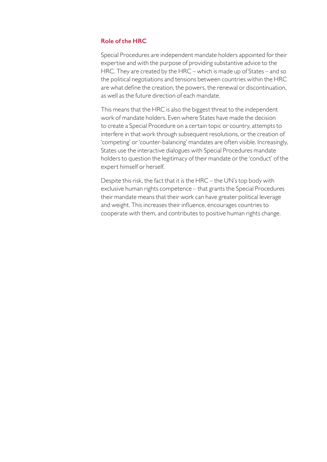# **Role of the HRC**

Special Procedures are independent mandate holders appointed for their expertise and with the purpose of providing substantive advice to the HRC. They are created by the HRC – which is made up of States – and so the political negotiations and tensions between countries within the HRC are what define the creation, the powers, the renewal or discontinuation, as well as the future direction of each mandate.

This means that the HRC is also the biggest threat to the independent work of mandate holders. Even where States have made the decision to create a Special Procedure on a certain topic or country, attempts to interfere in that work through subsequent resolutions, or the creation of 'competing' or 'counter-balancing' mandates are often visible. Increasingly, States use the interactive dialogues with Special Procedures mandate holders to question the legitimacy of their mandate or the 'conduct' of the expert himself or herself.

Despite this risk, the fact that it is the HRC – the UN's top body with exclusive human rights competence – that grants the Special Procedures their mandate means that their work can have greater political leverage and weight. This increases their influence, encourages countries to cooperate with them, and contributes to positive human rights change.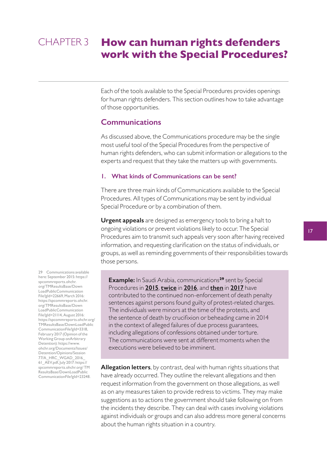## <span id="page-16-0"></span>**How can human rights defenders work with the Special Procedures?** CHAPTER 3

Each of the tools available to the Special Procedures provides openings for human rights defenders. This section outlines how to take advantage of those opportunities.

# **Communications**

As discussed above, the Communications procedure may be the single most useful tool of the Special Procedures from the perspective of human rights defenders, who can submit information or allegations to the experts and request that they take the matters up with governments.

#### **1. What kinds of Communications can be sent?**

There are three main kinds of Communications available to the Special Procedures. All types of Communications may be sent by individual Special Procedure or by a combination of them.

**Urgent appeals** are designed as emergency tools to bring a halt to ongoing violations or prevent violations likely to occur. The Special Procedures aim to transmit such appeals very soon after having received information, and requesting clarification on the status of individuals, or groups, as well as reminding governments of their responsibilities towards those persons.

**Example:** In Saudi Arabia, communications**<sup>29</sup>** sent by Special Procedures in **[2015](https://spcommreports.ohchr.org/TMResultsBase/DownLoadPublicCommunicationFile?gId=22669)**, **[twice](https://spcommreports.ohchr.org/TMResultsBase/DownLoadPublicCommunicationFile?gId=21114)** in **[2016](https://spcommreports.ohchr.org/TMResultsBase/DownLoadPublicCommunicationFile?gId=3318)**, and **[then](https://www.ohchr.org/Documents/Issues/Detention/Opinions/Session77/A_HRC_WGAD_2016_61_AEV.pdf)** in **[2017](https://spcommreports.ohchr.org/TMResultsBase/DownLoadPublicCommunicationFile?gId=23248)** have contributed to the continued non-enforcement of death penalty sentences against persons found guilty of protest-related charges. The individuals were minors at the time of the protests, and the sentence of death by crucifixion or beheading came in 2014 in the context of alleged failures of due process guarantees, including allegations of confessions obtained under torture. The communications were sent at different moments when the executions were believed to be imminent.

**Allegation letters**, by contrast, deal with human rights situations that have already occurred. They outline the relevant allegations and then request information from the government on those allegations, as well as on any measures taken to provide redress to victims. They may make suggestions as to actions the government should take following on from the incidents they describe. They can deal with cases involving violations against individuals or groups and can also address more general concerns about the human rights situation in a country.

29 Communications available here: September 2015: https:// spcommreports.ohchr. org/TMResultsBase/Down LoadPublicCommunication File?gId=22669, March 2016: https://spcommreports.ohchr. org/TMResultsBase/Down LoadPublicCommunication File?gId=21114, August 2016: https://spcommreports.ohchr.org/ TMResultsBase/DownLoadPublic CommunicationFile?gId=3318, February 2017 (Opinion of the Working Group onArbitrary Detention): https://www. ohchr.org/Documents/Issues/ Detention/Opinions/Session 77/A\_HRC\_WGAD\_2016\_ 61\_AEV.pdf, July 2017: https:// spcommreports.ohchr.org/ TM ResultsBase/DownLoadPublic CommunicationFile?gId=23248.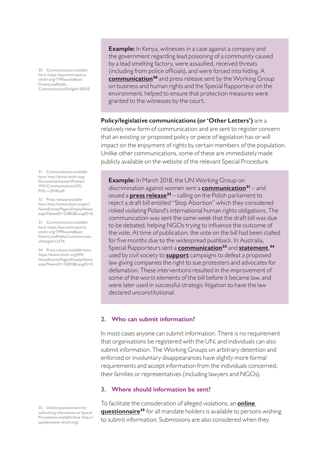<span id="page-17-0"></span>30 Communication available here: https://spcommreports. ohchr.org/TMResultsBase/ DownLoadPublic CommunicationFile?gId=20010.

31 Communication available here: http://www.ohchr.org/ Documents/Issues/Women/ WG/Communications/OL-POL-1-2018.pdf.

32 Press release available here: http://www.ohchr.org/en/ NewsEvents/Pages/DisplayNews. aspx?NewsID=22882&LangID=E.

33 Communication available here: https://spcommreports. ohchr.org/TMResultsBase/ DownLoadPublicCommunicatio nFile?gId=13774.

34 Press release available here: https://www.ohchr.org/EN/ NewsEvents/Pages/DisplayNews. aspx?NewsID=15002&LangID=E.

35 Online questionnaire for submitting information to Special Procedures available here: https:// spsubmission.ohchr.org/.

**Example:** In Kenya, witnesses in a case against a company and the government regarding lead poisoning of a community caused by a lead smelting factory, were assaulted, received threats (including from police officials), and were forced into hiding. A **[communication](https://spcommreports.ohchr.org/TMResultsBase/DownLoadPublicCommunicationFile?gId=20010)<sup>30</sup>** and press release sent by the Working Group on business and human rights and the Special Rapporteur on the environment, helped to ensure that protection measures were granted to the witnesses by the court.

#### **Policy/legislative communications (or 'Other Letters')** are a

relatively new form of communication and are sent to register concern that an existing or proposed policy or piece of legislation has or will impact on the enjoyment of rights by certain members of the population. Unlike other communications, some of these are immediately made publicly available on the website of the relevant Special Procedure.

**Example:** In March 2018, the UN Working Group on discrimination against women sent a **[communication](http://www.ohchr.org/Documents/Issues/Women/WG/Communications/OL-POL-1-2018.pdf)<sup>31</sup>** – and issued a **[press release](http://www.ohchr.org/en/NewsEvents/Pages/DisplayNews.aspx?NewsID=22882&LangID=E)<sup>32</sup>** – calling on the Polish parliament to reject a draft bill entitled "Stop Abortion" which they considered risked violating Poland's international human rights obligations. The communication was sent the same week that the draft bill was due to be debated, helping NGOs trying to influence the outcome of the vote. At time of publication, the vote on the bill had been stalled for five months due to the widespread pushback. In Australia, Special Rapporteurs sent a **[communication](https://spcommreports.ohchr.org/TMResultsBase/DownLoadPublicCommunicatio nFile?gId=13774)<sup>33</sup>** and **[statement](https://www.ohchr.org/EN/NewsEvents/Pages/DisplayNews.aspx?NewsID=15002&LangID=E)**, **34** used by civil society to **[support](https://www.themercury.com.au/news/tasmania/un-urges-state-government-to-rethink-antiprotest-laws/news-story/5caa6ccc16318432a1452b560d90570d)** campaigns to defeat a proposed law giving companies the right to sue protesters and advocates for defamation. These interventions resulted in the improvement of some of the worst elements of the bill before it became law, and were later used in successful strategic litigation to have the law declared unconstitutional.

#### **2. Who can submit information?**

In most cases anyone can submit information. There is no requirement that organisations be registered with the UN, and individuals can also submit information. The Working Groups on arbitrary detention and enforced or involuntary disappearances have slightly more formal requirements and accept information from the individuals concerned, their families or representatives (including lawyers and NGOs).

#### **3. Where should information be sent?**

To facilitate the consideration of alleged violations, an **[online](https://spsubmission.ohchr.org/)  [questionnaire](https://spsubmission.ohchr.org/)<sup>35</sup>** for all mandate holders is available to persons wishing to submit information. Submissions are also considered when they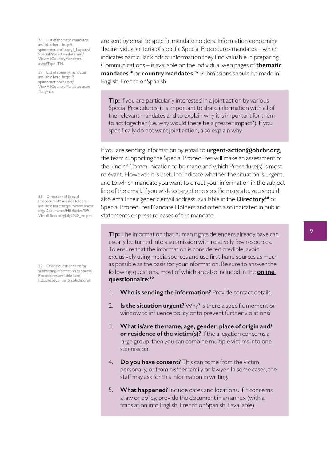36 List of thematic mandates available here: http:// spinternet.ohchr.org/\_Layouts/ SpecialProceduresInternet/ ViewAllCountryMandates. aspx?Type=TM.

37 List of country mandates available here: https:// spinternet.ohchr.org/ ViewAllCountryMandates.aspx ?lang=en.

38 Directory of Special Procedures Mandate Holders available here: https://www.ohchr. org/Documents/HRBodies/SP/ VisualDirectoryJuly2020\_en.pdf.

39 Online questionnaire for submitting information to Special Procedures available here: https://spsubmission.ohchr.org/.

are sent by email to specific mandate holders. Information concerning the individual criteria of specific Special Procedures mandates – which indicates particular kinds of information they find valuable in preparing Communications – is available on the individual web pages of **[thematic](http://spinternet.ohchr.org/_Layouts/SpecialProceduresInternet/ViewAllCountryMandates.aspx?Type=TM)  [mandates](http://spinternet.ohchr.org/_Layouts/SpecialProceduresInternet/ViewAllCountryMandates.aspx?Type=TM)<sup>36</sup>** or **[country mandates](https://spinternet.ohchr.org/ViewAllCountryMandates.aspx ?lang=en)**. **<sup>37</sup>** Submissions should be made in English, French or Spanish.

**Tip:** If you are particularly interested in a joint action by various Special Procedures, it is important to share information with all of the relevant mandates and to explain why it is important for them to act together (i.e. why would there be a greater impact?). If you specifically do not want joint action, also explain why.

If you are sending information by email to **[urgent-action@ohchr.org](mailto:urgent-action%40ohchr.org?subject=)**, the team supporting the Special Procedures will make an assessment of the kind of Communication to be made and which Procedure(s) is most relevant. However, it is useful to indicate whether the situation is urgent, and to which mandate you want to direct your information in the subject line of the email. If you wish to target one specific mandate, you should also email their generic email address, available in the **[Directory](https://www.ohchr.org/Documents/HRBodies/SP/VisualDirectoryJuly2020_en.pdf)<sup>38</sup>** of Special Procedures Mandate Holders and often also indicated in public statements or press releases of the mandate.

**Tip:** The information that human rights defenders already have can usually be turned into a submission with relatively few resources. To ensure that the information is considered credible, avoid exclusively using media sources and use first-hand sources as much as possible as the basis for your information. Be sure to answer the following questions, most of which are also included in the **[online](https://spsubmission.ohchr.org/)  [questionnaire](https://spsubmission.ohchr.org/)**: **39**

- 1. **Who is sending the information?** Provide contact details.
- 2. **Is the situation urgent?** Why? Is there a specific moment or window to influence policy or to prevent further violations?
- 3. **What is/are the name, age, gender, place of origin and/ or residence of the victim(s)?** If the allegation concerns a large group, then you can combine multiple victims into one submission.
- 4. **Do you have consent?** This can come from the victim personally, or from his/her family or lawyer. In some cases, the staff may ask for this information in writing.
- 5. **What happened?** Include dates and locations. If it concerns a law or policy, provide the document in an annex (with a translation into English, French or Spanish if available).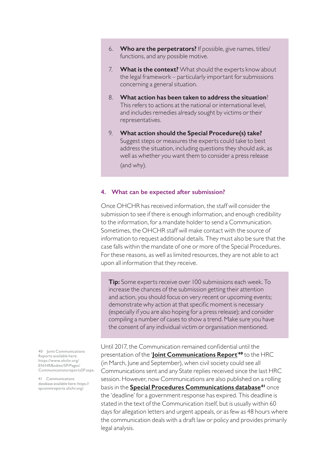- <span id="page-19-0"></span>6. **Who are the perpetrators?** If possible, give names, titles/ functions, and any possible motive.
- 7. **What is the context?** What should the experts know about the legal framework – particularly important for submissions concerning a general situation.
- 8. **What action has been taken to address the situation**? This refers to actions at the national or international level, and includes remedies already sought by victims or their representatives.
- 9. **What action should the Special Procedure(s) take?** Suggest steps or measures the experts could take to best address the situation, including questions they should ask, as well as whether you want them to consider a press release (and why).

#### **4. What can be expected after submission?**

Once OHCHR has received information, the staff will consider the submission to see if there is enough information, and enough credibility to the information, for a mandate holder to send a Communication. Sometimes, the OHCHR staff will make contact with the source of information to request additional details. They must also be sure that the case falls within the mandate of one or more of the Special Procedures. For these reasons, as well as limited resources, they are not able to act upon all information that they receive.

**Tip:** Some experts receive over 100 submissions each week. To increase the chances of the submission getting their attention and action, you should focus on very recent or upcoming events; demonstrate why action at that specific moment is necessary (especially if you are also hoping for a press release); and consider compiling a number of cases to show a trend. Make sure you have the consent of any individual victim or organisation mentioned.

Until 2017, the Communication remained confidential until the presentation of the '**[Joint Communications Report](https://www.ohchr.org/EN/HRBodies/SP/Pages/CommunicationsreportsSP.aspx)**' **<sup>40</sup>** to the HRC (in March, June and September), when civil society could see all Communications sent and any State replies received since the last HRC session. However, now Communications are also published on a rolling basis in the **[Special Procedures Communications database](https://spcommreports.ohchr.org/)<sup>41</sup>** once the 'deadline' for a government response has expired. This deadline is stated in the text of the Communication itself, but is usually within 60 days for allegation letters and urgent appeals, or as few as 48 hours where the communication deals with a draft law or policy and provides primarily legal analysis.

40 Joint Communications Reports available here: https://www.ohchr.org/ EN/HRBodies/SP/Pages/ CommunicationsreportsSP.aspx.

41 Communications database available here: https:// spcommreports.ohchr.org/.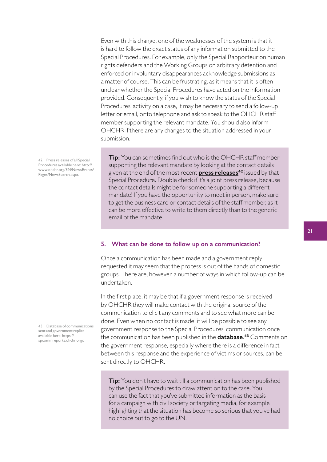<span id="page-20-0"></span>Even with this change, one of the weaknesses of the system is that it is hard to follow the exact status of any information submitted to the Special Procedures. For example, only the Special Rapporteur on human rights defenders and the Working Groups on arbitrary detention and enforced or involuntary disappearances acknowledge submissions as a matter of course. This can be frustrating, as it means that it is often unclear whether the Special Procedures have acted on the information provided. Consequently, if you wish to know the status of the Special Procedures' activity on a case, it may be necessary to send a follow-up letter or email, or to telephone and ask to speak to the OHCHR staff member supporting the relevant mandate. You should also inform OHCHR if there are any changes to the situation addressed in your submission.

42 Press releases of all Special Procedures available here: http:// www.ohchr.org/EN/NewsEvents/ Pages/NewsSearch.aspx.

**Tip:** You can sometimes find out who is the OHCHR staff member supporting the relevant mandate by looking at the contact details given at the end of the most recent **[press releases](http://www.ohchr.org/EN/NewsEvents/Pages/NewsSearch.aspx)<sup>42</sup>** issued by that Special Procedure. Double check if it's a joint press release, because the contact details might be for someone supporting a different mandate! If you have the opportunity to meet in person, make sure to get the business card or contact details of the staff member, as it can be more effective to write to them directly than to the generic email of the mandate.

#### **5. What can be done to follow up on a communication?**

Once a communication has been made and a government reply requested it may seem that the process is out of the hands of domestic groups. There are, however, a number of ways in which follow-up can be undertaken.

In the first place, it may be that if a government response is received by OHCHR they will make contact with the original source of the communication to elicit any comments and to see what more can be done. Even when no contact is made, it will be possible to see any government response to the Special Procedures' communication once the communication has been published in the **[database](https://spcommreports.ohchr.org/)**. **<sup>43</sup>** Comments on the government response, especially where there is a difference in fact between this response and the experience of victims or sources, can be sent directly to OHCHR.

**Tip:** You don't have to wait till a communication has been published by the Special Procedures to draw attention to the case. You can use the fact that you've submitted information as the basis for a campaign with civil society or targeting media, for example highlighting that the situation has become so serious that you've had no choice but to go to the UN.

43 Database of communications sent and government replies available here: https:// spcommreports.ohchr.org/.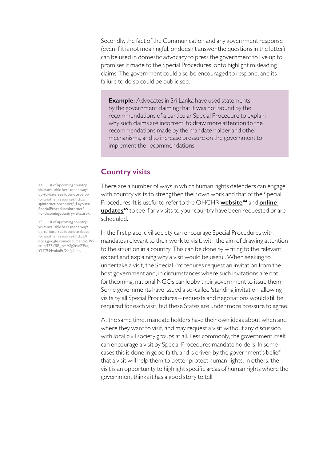<span id="page-21-0"></span>Secondly, the fact of the Communication and any government response (even if it is not meaningful, or doesn't answer the questions in the letter) can be used in domestic advocacy to press the government to live up to promises it made to the Special Procedures, or to highlight misleading claims. The government could also be encouraged to respond, and its failure to do so could be publicised.

**Example:** Advocates in Sri Lanka have used statements by the government claiming that it was not bound by the recommendations of a particular Special Procedure to explain why such claims are incorrect, to draw more attention to the recommendations made by the mandate holder and other mechanisms, and to increase pressure on the government to implement the recommendations.

# **Country visits**

There are a number of ways in which human rights defenders can engage with country visits to strengthen their own work and that of the Special Procedures. It is useful to refer to the OHCHR **[website](http://spinternet.ohchr.org/_Layouts/SpecialProceduresInternet/Forthcomingcountryvisits.aspx)<sup>44</sup>** and **[online](https://docs.google.com/document/d/195truq977Y5E_rmASg2rurZPagY1T7U4vukuEtfXafg/edit)  [updates](https://docs.google.com/document/d/195truq977Y5E_rmASg2rurZPagY1T7U4vukuEtfXafg/edit)<sup>45</sup>** to see if any visits to your country have been requested or are scheduled.

In the first place, civil society can encourage Special Procedures with mandates relevant to their work to visit, with the aim of drawing attention to the situation in a country. This can be done by writing to the relevant expert and explaining why a visit would be useful. When seeking to undertake a visit, the Special Procedures request an invitation from the host government and, in circumstances where such invitations are not forthcoming, national NGOs can lobby their government to issue them. Some governments have issued a so-called 'standing invitation' allowing visits by all Special Procedures – requests and negotiations would still be required for each visit, but these States are under more pressure to agree.

At the same time, mandate holders have their own ideas about when and where they want to visit, and may request a visit without any discussion with local civil society groups at all. Less commonly, the government itself can encourage a visit by Special Procedures mandate holders. In some cases this is done in good faith, and is driven by the government's belief that a visit will help them to better protect human rights. In others, the visit is an opportunity to highlight specific areas of human rights where the government thinks it has a good story to tell.

44 List of upcoming country visits available here (not always up-to-date, see footnote below for another resource): http:// spinternet.ohchr.org/\_Layouts/ SpecialProceduresInternet/ Forthcomingcountryvisits.aspx.

45 List of upcoming country visits available here (not always up-to-date, see footnote above for another resource): https:// docs.google.com/document/d/195 truq 977Y5E\_rmASg2rurZPag Y1T7U4vukuEtfXafg/edit.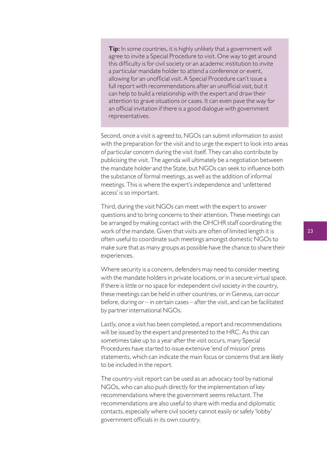**Tip:** In some countries, it is highly unlikely that a government will agree to invite a Special Procedure to visit. One way to get around this difficulty is for civil society or an academic institution to invite a particular mandate holder to attend a conference or event, allowing for an unofficial visit. A Special Procedure can't issue a full report with recommendations after an unofficial visit, but it can help to build a relationship with the expert and draw their attention to grave situations or cases. It can even pave the way for an official invitation if there is a good dialogue with government representatives.

Second, once a visit is agreed to, NGOs can submit information to assist with the preparation for the visit and to urge the expert to look into areas of particular concern during the visit itself. They can also contribute by publicising the visit. The agenda will ultimately be a negotiation between the mandate holder and the State, but NGOs can seek to influence both the substance of formal meetings, as well as the addition of informal meetings. This is where the expert's independence and 'unfettered access' is so important.

Third, during the visit NGOs can meet with the expert to answer questions and to bring concerns to their attention. These meetings can be arranged by making contact with the OHCHR staff coordinating the work of the mandate. Given that visits are often of limited length it is often useful to coordinate such meetings amongst domestic NGOs to make sure that as many groups as possible have the chance to share their experiences.

Where security is a concern, defenders may need to consider meeting with the mandate holders in private locations, or in a secure virtual space. If there is little or no space for independent civil society in the country, these meetings can be held in other countries, or in Geneva, can occur before, during or – in certain cases – after the visit, and can be facilitated by partner international NGOs.

Lastly, once a visit has been completed, a report and recommendations will be issued by the expert and presented to the HRC. As this can sometimes take up to a year after the visit occurs, many Special Procedures have started to issue extensive 'end of mission' press statements, which can indicate the main focus or concerns that are likely to be included in the report.

The country visit report can be used as an advocacy tool by national NGOs, who can also push directly for the implementation of key recommendations where the government seems reluctant. The recommendations are also useful to share with media and diplomatic contacts, especially where civil society cannot easily or safely 'lobby' government officials in its own country.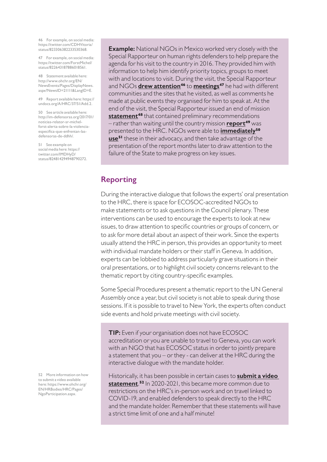<span id="page-23-0"></span>46 For example, on social media: https://twitter.com/CDHVitoria/ status/823306382233530368.

47 For example, on social media: https://twitter.com/ForstMichel/ status/822643187886018561.

48 Statement available here: http://www.ohchr.org/EN/ NewsEvents/Pages/DisplayNews. aspx?NewsID=21111&LangID=E.

49 Report available here: https:// undocs.org/A/HRC/37/51/Add.2.

50 See article available here: http://im-defensoras.org/2017/01/ noticias-relator-sr-michelforst-alerta-sobre-la-violenciaespecifica-que-enfrentan-lasdefensoras-de-ddhh/.

51 See example on social media here: https:// twitter.com/IMDHyD/ status/824814294948790272.

**Example:** National NGOs in Mexico worked very closely with the Special Rapporteur on human rights defenders to help prepare the agenda for his visit to the country in 2016. They provided him with information to help him identify priority topics, groups to meet with and locations to visit. During the visit, the Special Rapporteur and NGOs **[drew attention](https://twitter.com/CDHVitoria/status/823306382233530368)<sup>46</sup>** to **[meetings](https://twitter.com/ForstMichel/status/822643187886018561)<sup>47</sup>** he had with different communities and the sites that he visited, as well as comments he made at public events they organised for him to speak at. At the end of the visit, the Special Rapporteur issued an end of mission **[statement](http://www.ohchr.org/EN/NewsEvents/Pages/DisplayNews.aspx?NewsID=21111&LangID=E)<sup>48</sup>** that contained preliminary recommendations – rather than waiting until the country mission **[report](https://undocs.org/A/HRC/37/51/Add.2)<sup>49</sup>** was presented to the HRC. NGOs were able to **[immediately](http://im-defensoras.org/2017/01/noticias-relator-sr-michel-forst-alerta-sobre-la-violencia-especifica-que-enfrentan-las-defensoras-de-ddhh/)<sup>50</sup> [use](https://twitter.com/IMDHyD/status/824814294948790272)<sup>51</sup>** these in their advocacy, and then take advantage of the presentation of the report months later to draw attention to the failure of the State to make progress on key issues.

# **Reporting**

During the interactive dialogue that follows the experts' oral presentation to the HRC, there is space for ECOSOC-accredited NGOs to make statements or to ask questions in the Council plenary. These interventions can be used to encourage the experts to look at new issues, to draw attention to specific countries or groups of concern, or to ask for more detail about an aspect of their work. Since the experts usually attend the HRC in person, this provides an opportunity to meet with individual mandate holders or their staff in Geneva. In addition, experts can be lobbied to address particularly grave situations in their oral presentations, or to highlight civil society concerns relevant to the thematic report by citing country-specific examples.

Some Special Procedures present a thematic report to the UN General Assembly once a year, but civil society is not able to speak during those sessions. If it is possible to travel to New York, the experts often conduct side events and hold private meetings with civil society.

**TIP:** Even if your organisation does not have ECOSOC accreditation or you are unable to travel to Geneva, you can work with an NGO that has ECOSOC status in order to jointly prepare a statement that you – or they - can deliver at the HRC during the interactive dialogue with the mandate holder.

Historically, it has been possible in certain cases to **[submit a video](https://www.ohchr.org/EN/HRBodies/HRC/Pages/NgoParticipation.aspx)  [statement](https://www.ohchr.org/EN/HRBodies/HRC/Pages/NgoParticipation.aspx)**. **<sup>52</sup>** In 2020-2021, this became more common due to restrictions on the HRC's in-person work and on travel linked to COVID-19, and enabled defenders to speak directly to the HRC and the mandate holder. Remember that these statements will have a strict time limit of one and a half minute!

52 More information on how to submit a video available here: https://www.ohchr.org/ EN/HRBodies/HRC/Pages/ NgoParticipation.aspx.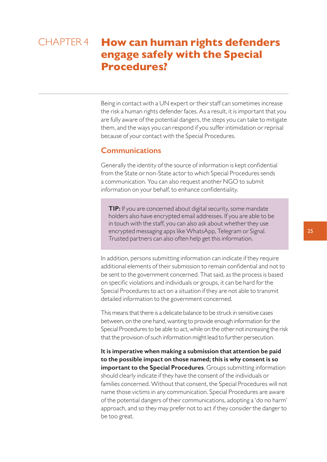# <span id="page-24-0"></span>**How can human rights defenders engage safely with the Special Procedures?** CHAPTER 4

Being in contact with a UN expert or their staff can sometimes increase the risk a human rights defender faces. As a result, it is important that you are fully aware of the potential dangers, the steps you can take to mitigate them, and the ways you can respond if you suffer intimidation or reprisal because of your contact with the Special Procedures.

# **Communications**

Generally the identity of the source of information is kept confidential from the State or non-State actor to which Special Procedures sends a communication. You can also request another NGO to submit information on your behalf, to enhance confidentiality.

**TIP:** If you are concerned about digital security, some mandate holders also have encrypted email addresses. If you are able to be in touch with the staff, you can also ask about whether they use encrypted messaging apps like WhatsApp, Telegram or Signal. Trusted partners can also often help get this information.

In addition, persons submitting information can indicate if they require additional elements of their submission to remain confidential and not to be sent to the government concerned. That said, as the process is based on specific violations and individuals or groups, it can be hard for the Special Procedures to act on a situation if they are not able to transmit detailed information to the government concerned.

This means that there is a delicate balance to be struck in sensitive cases between, on the one hand, wanting to provide enough information for the Special Procedures to be able to act, while on the other not increasing the risk that the provision of such information might lead to further persecution.

**It is imperative when making a submission that attention be paid to the possible impact on those named; this is why consent is so important to the Special Procedures**. Groups submitting information should clearly indicate if they have the consent of the individuals or families concerned. Without that consent, the Special Procedures will not name those victims in any communication. Special Procedures are aware of the potential dangers of their communications, adopting a 'do no harm' approach, and so they may prefer not to act if they consider the danger to be too great.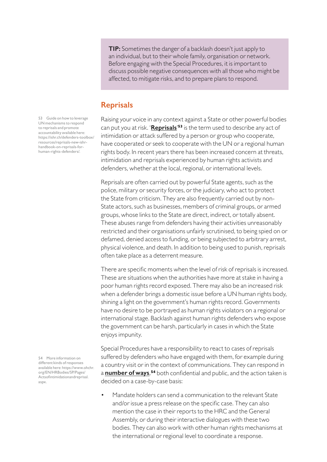<span id="page-25-0"></span>**TIP:** Sometimes the danger of a backlash doesn't just apply to an individual, but to their whole family, organisation or network. Before engaging with the Special Procedures, it is important to discuss possible negative consequences with all those who might be affected, to mitigate risks, and to prepare plans to respond.

# **Reprisals**

Raising your voice in any context against a State or other powerful bodies can put you at risk. '**[Reprisals](https://ishr.ch/defenders-toolbox/resources/reprisals-new-ishr-handbook-on-reprisals-for-human-rights-defenders/)**' **<sup>53</sup>** is the term used to describe any act of intimidation or attack suffered by a person or group who cooperate, have cooperated or seek to cooperate with the UN or a regional human rights body. In recent years there has been increased concern at threats, intimidation and reprisals experienced by human rights activists and defenders, whether at the local, regional, or international levels.

Reprisals are often carried out by powerful State agents, such as the police, military or security forces, or the judiciary, who act to protect the State from criticism. They are also frequently carried out by non-State actors, such as businesses, members of criminal groups, or armed groups, whose links to the State are direct, indirect, or totally absent. These abuses range from defenders having their activities unreasonably restricted and their organisations unfairly scrutinised, to being spied on or defamed, denied access to funding, or being subjected to arbitrary arrest, physical violence, and death. In addition to being used to punish, reprisals often take place as a deterrent measure.

There are specific moments when the level of risk of reprisals is increased. These are situations when the authorities have more at stake in having a poor human rights record exposed. There may also be an increased risk when a defender brings a domestic issue before a UN human rights body, shining a light on the government's human rights record. Governments have no desire to be portrayed as human rights violators on a regional or international stage. Backlash against human rights defenders who expose the government can be harsh, particularly in cases in which the State enjoys impunity.

Special Procedures have a responsibility to react to cases of reprisals suffered by defenders who have engaged with them, for example during a country visit or in the context of communications. They can respond in a **[number of ways](https://www.ohchr.org/EN/HRBodies/SP/Pages/Actsofintimidationandreprisal.aspx)**, **<sup>54</sup>** both confidential and public, and the action taken is decided on a case-by-case basis:

Mandate holders can send a communication to the relevant State and/or issue a press release on the specific case. They can also mention the case in their reports to the HRC and the General Assembly, or during their interactive dialogues with these two bodies. They can also work with other human rights mechanisms at the international or regional level to coordinate a response.

53 Guide on how to leverage UN mechanisms to respond to reprisals and promote accountability available here: https://ishr.ch/defenders-toolbox/ resources/reprisals-new-ishrhandbook-on-reprisals-forhuman-rights-defenders/.

54 More information on different kinds of responses available here: https://www.ohchr. org/EN/HRBodies/SP/Pages/ Actsofintimidationandreprisal. aspx.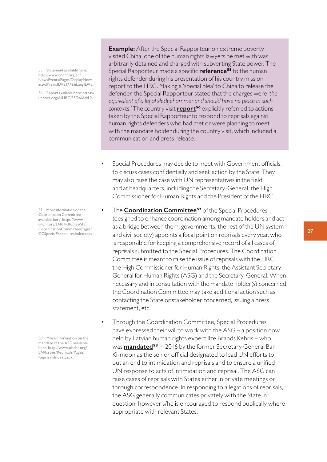55 Statement available here: http://www.ohchr.org/en/ NewsEvents/Pages/DisplayNews. aspx?NewsID=21772&LangID=E.

56 Report available here: https:// undocs.org/A/HRC/35/26/Add.2.

57 More nformation on the Coordination Committee available here: https://www. ohchr.org/EN/HRBodies/SP/ CoordinationCommittee/Pages/ CCSpecialProceduresIndex.aspx.

58 More information on the mandate of the ASG available here: http://www.ohchr.org/ EN/Issues/Reprisals/Pages/ ReprisalsIndex.aspx.

**Example:** After the Special Rapporteur on extreme poverty visited China, one of the human rights lawyers he met with was arbitrarily detained and charged with subverting State power. The Special Rapporteur made a specific **[reference](http://www.ohchr.org/en/NewsEvents/Pages/DisplayNews.aspx?NewsID=21772&LangID=Ehttp://)<sup>55</sup>** to the human rights defender during his presentation of his country mission report to the HRC. Making a 'special plea' to China to release the defender, the Special Rapporteur stated that the charges were *'the equivalent of a legal sledgehammer and should have no place in such contexts.'* The country visit **[report](https://undocs.org/A/HRC/35/26/Add.2)<sup>56</sup>** explicitly referred to actions taken by the Special Rapporteur to respond to reprisals against human rights defenders who had met or were planning to meet with the mandate holder during the country visit, which included a communication and press release.

- Special Procedures may decide to meet with Government officials, to discuss cases confidentially and seek action by the State. They may also raise the case with UN representatives in the field and at headquarters, including the Secretary-General, the High Commissioner for Human Rights and the President of the HRC.
- The **[Coordination Committee](https://www.ohchr.org/EN/HRBodies/SP/CoordinationCommittee/Pages/CCSpecialProceduresIndex.aspx)<sup>57</sup>** of the Special Procedures (designed to enhance coordination among mandate holders and act as a bridge between them, governments, the rest of the UN system and civil society) appoints a focal point on reprisals every year, who is responsible for keeping a comprehensive record of all cases of reprisals submitted to the Special Procedures. The Coordination Committee is meant to raise the issue of reprisals with the HRC, the High Commissioner for Human Rights, the Assistant Secretary General for Human Rights (ASG) and the Secretary-General. When necessary and in consultation with the mandate holder(s) concerned, the Coordination Committee may take additional action such as contacting the State or stakeholder concerned, issuing a press statement, etc.
- Through the Coordination Committee, Special Procedures have expressed their will to work with the ASG – a position now held by Latvian human rights expert Ilze Brands Kehris – who was **[mandated](http://www.ohchr.org/EN/Issues/Reprisals/Pages/ReprisalsIndex.aspx)<sup>58</sup>** in 2016 by the former Secretary General Ban Ki-moon as the senior official designated to lead UN efforts to put an end to intimidation and reprisals and to ensure a unified UN response to acts of intimidation and reprisal. The ASG can raise cases of reprisals with States either in private meetings or through correspondence. In responding to allegations of reprisals, the ASG generally communicates privately with the State in question, however s/he is encouraged to respond publically where appropriate with relevant States.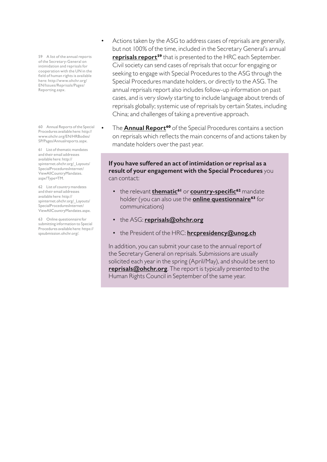59 A list of the annual reports of the Secretary-General on intimidation and reprisals for cooperation with the UN in the field of human rights is available here: http://www.ohchr.org/ EN/Issues/Reprisals/Pages/ Reporting.aspx.

60 Annual Reports of the Special Procedures available here: http:// www.ohchr.org/EN/HRBodies/ SP/Pages/Annualreports.aspx.

61 List of thematic mandates and their email addresses available here: http:// spinternet.ohchr.org/\_Layouts/ SpecialProceduresInternet/ ViewAllCountryMandates. aspx?Type=TM.

62 List of country mandates and their email addresses available here: http:// spinternet.ohchr.org/\_Layouts/ SpecialProceduresInternet/ ViewAllCountryMandates.aspx.

63 Online questionnaire for submitting information to Special Procedures available here: https:// spsubmission.ohchr.org/.

- Actions taken by the ASG to address cases of reprisals are generally, but not 100% of the time, included in the Secretary General's annual **[reprisals report](http://www.ohchr.org/EN/Issues/Reprisals/Pages/Reporting.aspx)<sup>59</sup>** that is presented to the HRC each September. Civil society can send cases of reprisals that occur for engaging or seeking to engage with Special Procedures to the ASG through the Special Procedures mandate holders, or directly to the ASG. The annual reprisals report also includes follow-up information on past cases, and is very slowly starting to include language about trends of reprisals globally; systemic use of reprisals by certain States, including China; and challenges of taking a preventive approach.
- The **[Annual Report](http://www.ohchr.org/EN/HRBodies/SP/Pages/Annualreports.aspx)<sup>60</sup>** of the Special Procedures contains a section on reprisals which reflects the main concerns of and actions taken by mandate holders over the past year.

#### **If you have suffered an act of intimidation or reprisal as a result of your engagement with the Special Procedures** you can contact:

- the relevant **[thematic](http://spinternet.ohchr.org/_Layouts/SpecialProceduresInternet/ViewAllCountryMandates.aspx?Type=TM)<sup>61</sup>** or **[country-specific](http://spinternet.ohchr.org/_Layouts/SpecialProceduresInternet/ViewAllCountryMandates.aspx)<sup>62</sup>** mandate holder (you can also use the **[online questionnaire](https://spsubmission.ohchr.org/)<sup>63</sup>** for communications)
- the ASG: **[reprisals@ohchr.org](mailto:reprisals%40ohchr.org?subject=)**
- the President of the HRC: **[hrcpresidency@unog.ch](mailto:hrcpresidency%40unog.ch?subject=)**

In addition, you can submit your case to the annual report of the Secretary General on reprisals. Submissions are usually solicited each year in the spring (April/May), and should be sent to **[reprisals@ohchr.org](mailto:reprisals%40ohchr.org?subject=)**. The report is typically presented to the Human Rights Council in September of the same year.